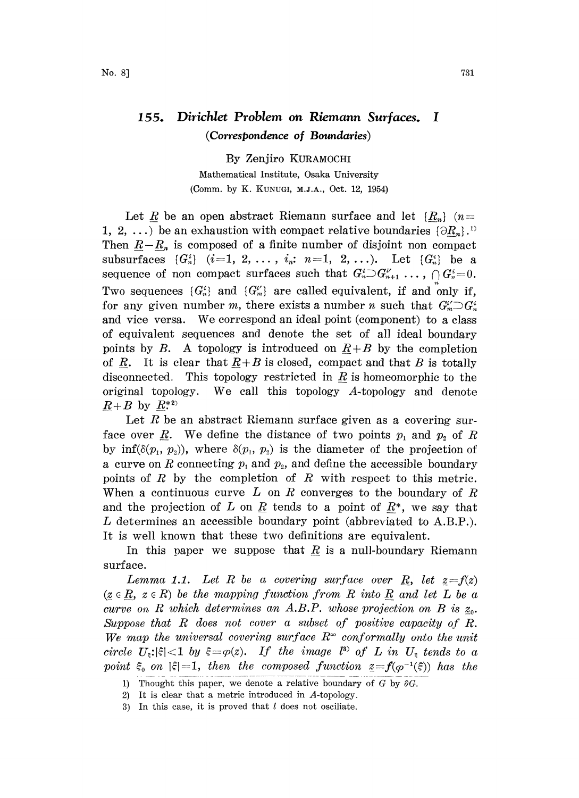## 155. Dirichlet Problem on Riemann Surfaces. <sup>I</sup> (Correspondence of Boundaries)

By Zenjiro KURAMOCH Mathematical Institute, Osaka University (Comm. by K. KUNUGI, M.J.A\_., Oct. 12, 1954)

Let R be an open abstract Riemann surface and let  $\{R_n\}$  (n= 1, 2, ...) be an exhaustion with compact relative boundaries  $\{\partial R_n\}$ .<sup>11</sup> Then  $R-R_n$  is composed of a finite number of disjoint non compact subsurfaces  $\{G_n^i\}$   $(i=1, 2, ..., i_n; n=1, 2, ...)$ . Let  $\{G_n^i\}$  be a sequence of non compact surfaces such that  $G_n^i \supset G_{n+1}^i \ldots, \bigcap G_n^i = 0$ . Two sequences  $\{G_n^i\}$  and  $\{G_m^{i'}\}$  are called equivalent, if and only if, for any given number m, there exists a number n such that  $G_m^{i'} \supset G_n^{i'}$ and vice versa. We correspond an ideal point (component) to <sup>a</sup> class of equivalent sequences and denote the set of all ideal boundary points by B. A topology is introduced on  $R+B$  by the completion of R. It is clear that  $R+B$  is closed, compact and that B is totally disconnected. This topology restricted in R is homeomorphic to the original topology. We call this topology  $A$ -topology and denote  $R+B$  by  $R^{*2}$ 

Let  $R$  be an abstract Riemann surface given as a covering surface over R. We define the distance of two points  $p_1$  and  $p_2$  of R by inf( $\delta(p_1, p_2)$ ), where  $\delta(p_1, p_2)$  is the diameter of the projection of a curve on R connecting  $p_1$  and  $p_2$ , and define the accessible boundary points of  $R$  by the completion of  $R$  with respect to this metric. When a continuous curve L on R converges to the boundary of R and the projection of L on R tends to a point of  $R^*$ , we say that L determines an accessible boundary point (abbreviated to A.B.P.). It is well known that these two definitions are equivalent.

In this paper we suppose that  $R$  is a null-boundary Riemann surface.

Lemma 1.1. Let R be a covering surface over R, let  $z=f(z)$  $(z \in R, z \in R)$  be the mapping function from R into R and let L be a curve on R which determines an A.B.P. whose projection on B is  $z_0$ . Suppose that R does not cover <sup>a</sup> subset of positive capacity of R. We map the universal covering surface  $R^{\infty}$  conformally onto the unit circle  $U_{\xi}$ : $|\xi|$ <1 by  $\xi = \varphi(z)$ . If the image  $l^{3}$  of L in  $U_{\xi}$  tends to a point  $\xi_0$  on  $|\xi|=1$ , then the composed function  $z=f(\varphi^{-1}(\xi))$  has the

<sup>1)</sup> Thought this paper, we denote a relative boundary of G by  $\partial G$ .

<sup>2)</sup> It is clear that a metric introduced in A-topology.

<sup>3)</sup> In this case, it is proved that  $l$  does not osciliate.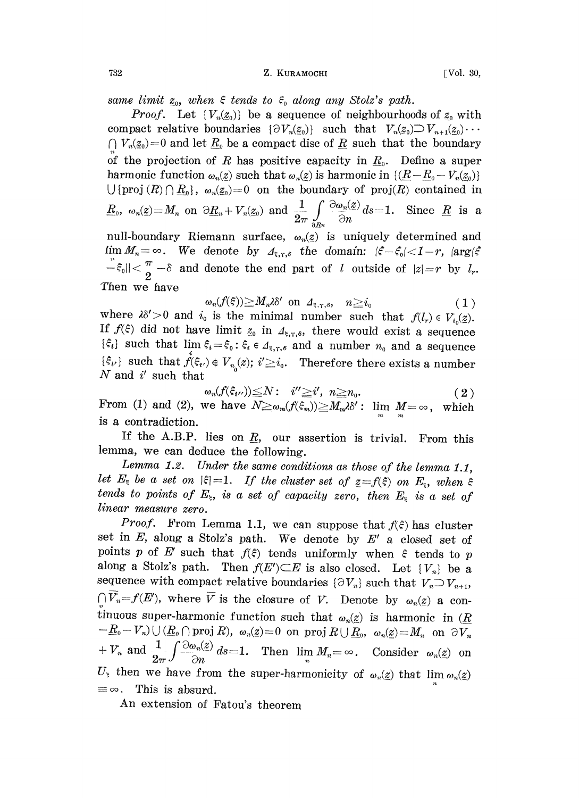same limit  $\underline{z}_0$ , when  $\xi$  tends to  $\xi_0$  along any Stolz's path.

*Proof.* Let  $\{V_n(\underline{z}_0)\}\)$  be a sequence of neighbourhoods of  $\underline{z}_0$  with compact relative boundaries  $\{\partial V_n(z_0)\}$  such that  $V_n(z_0) \supset V_{n+1}(z_0) \cdots$  $\bigcap V_n(\underline{z}_0)=0$  and let  $\underline{R}_0$  be a compact disc of  $\underline{R}$  such that the boundary of the projection of R has positive capacity in  $\underline{R}_0$ . Define a super harmonic function  $\omega_n(z)$  such that  $\omega_n(z)$  is harmonic in  $\{(\underline{R}-\underline{R}_0-V_n(z_0))\}$  $\bigcup \{proj(R) \cap \underline{R}_0\}, \omega_n(\underline{z}_0)=0$  on the boundary of proj $(R)$  contained in  $\underline{R}_0, \ \omega_n(\underline{z}) = M_n \ \ \text{on} \ \ \partial \underline{R}_n + V_n(\underline{z}_0) \ \ \text{and} \ \ \frac{1}{2\pi} \int\limits_{\partial B^n} \frac{\partial \omega_n(\underline{z})}{\partial n} d\overline{s} = 1. \ \ \ \text{Since} \ \ \underline{R} \ \ \text{is} \ \ \text{a}$ 

null-boundary Riemann surface,  $\omega_n(z)$  is uniquely determined and  $\lim M_n = \infty$ . We denote by  $A_{\xi,\tau,\delta}$  the domain:  $|\xi-\xi_0| < 1-r$ ,  $|\arg(\xi-\xi_0)|$  $\begin{align*} -\xi_0 || \leq \frac{\pi}{2} - \delta \ \text{ and denote the end part of } l \text{ outside of } |z| = r \text{ by } l_n. \end{align*}$ <br>
Then we have  $\begin{align*} \omega_n(f(\xi)) \geq M_n \lambda \delta' \text{ on } \mathcal{A}_{\xi,\tau,\delta}, \quad n \geq i_0 \end{align*}$ Then we have

$$
\omega_n(f(\xi)) \geq M_n \lambda \delta' \text{ on } \Lambda_{\xi,\gamma,\delta}, \quad n \geq i_0 \tag{1}
$$

 $\omega_n(f(\xi)) \geq M_n \lambda \delta'$  on  $\Delta_{\xi,\tau,\delta}$ ,  $n \geq i_0$  (1)<br>where  $\lambda \delta' > 0$  and  $i_0$  is the minimal number such that  $f(l_r) \in V_{i_0}(\underline{z})$ . If  $f(\xi)$  did not have limit  $z_0$  in  $A_{\xi,\tau,\delta}$ , there would exist a sequence  $\{\hat{\xi}_i\}$  such that  $\lim_{n \to \infty} \hat{\xi}_i = \hat{\xi}_0 : \hat{\xi}_i \in \mathcal{A}_{\xi, \tau, \delta}$  and a number  $n_0$  and a sequence  $\{\xi_i\}$  such that  $\mathring{f}(\xi_i) \notin V_{n_0}(z)$ ;  $i' \geq i_0$ . Therefore there exists a number N and  $i'$  such that

$$
\omega_n(f(\xi_{i'})) \leq N: \quad i'' \geq i', \quad n \geq n_0. \tag{2}
$$
  
From (1) and (2), we have  $N \geq \omega_m(f(\xi_m)) \geq M_m \lambda \delta'$ :  $\lim_{m} M = \infty$ , which  
is a contradiction.

If the A.B.P. lies on  $\underline{R}$ , our assertion is trivial. From this lemma, we can deduce the following.

Lemma 1.2. Under the same conditions as those of the lemma 1.1, let  $E_{\xi}$  be a set on  $|\xi|=1$ . If the cluster set of  $z=f(\xi)$  on  $E_{\xi}$ , when  $\xi$ tends to points of  $E_z$ , is a set of capacity zero, then  $E_z$  is a set of linear measure zero.

*Proof.* From Lemma 1.1, we can suppose that  $f(\xi)$  has cluster set in  $E$ , along a Stolz's path. We denote by  $E'$  a closed set of points p of E' such that  $f(\xi)$  tends uniformly when  $\xi$  tends to p along a Stolz's path. Then  $f(E') \subseteq E$  is also closed. Let  $\{V_n\}$  be a sequence with compact relative boundaries  $\{\partial V_n\}$  such that  $V_n \supset V_{n+1}$ ,  $\bigcap \overline{V}_n = f(E')$ , where  $\overline{V}$  is the closure of V. Denote by  $\omega_n(\underline{z})$  a continuous super-harmonic function such that  $\omega_n(z)$  is harmonic in ( $\underline{R}$  $-E_0-V_n)\cup (\underline{R}_0\cap \text{proj } R),\ \omega_n(z)=0\ \ \text{on}\ \ \text{proj } R\cup \underline{R}_0,\ \ \omega_n(z)=M_n\ \ \text{on}\ \ \partial V_n$  $+ V_n$  and  $\frac{1}{2\pi} \int \frac{\partial \omega_n(z)}{\partial n} ds = 1$ . Then  $\lim_n M_n = \infty$ . Consider  $\omega_n(z)$  on  $U_z$  then we have from the super-harmonicity of  $\omega_n(z)$  that  $\lim_{n \to \infty} \alpha_n(z)$ . This is absurd.

An extension of Fatou's theorem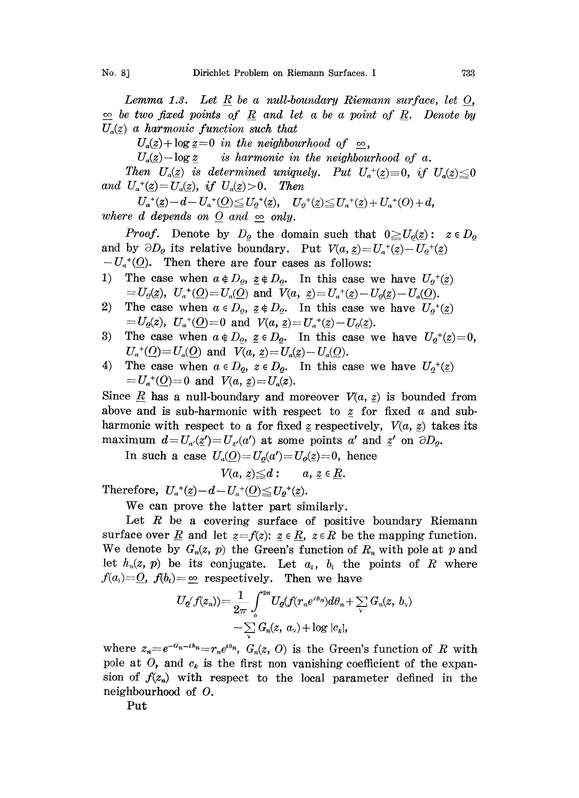Lemma 1.3. Let R be a null-boundary Riemann surface, let  $O$ ,  $\infty$  be two fixed points of R and let a be a point of R. Denote by  $U_a(z)$  a harmonic function such that

 $U_a(z) + \log z = 0$  in the neighbourhood of  $\infty$ ,

 $U_a(z)$ -log z is harmonic in the neighbourhood of a.

Then  $U_a(z)$  is determined uniquely. Put  $U_a^+(z)=0$ , if  $U_a(z)\leq 0$ <br>  $U_a^+(z)=U_a(z)$ , if  $U_a(z)>0$ . Then and  $U_a^{\dagger}(\underline{z}) = U_a(\underline{z})$ , if  $U_a(\underline{z}) > 0$ . Then

 $U_a^{\dagger}(z)-d-U_a^{\dagger}(Q) \leq U_o^{\dagger}(z), \quad U_o^{\dagger}(z) \leq U_a^{\dagger}(z)+U_a^{\dagger}(O)+d,$ where d depends on O and  $\infty$  only.

*Proof.* Denote by  $D_{\rho}$  the domain such that  $0 \ge U_o(z)$ :  $z \in D_{\rho}$ and by  $\partial D_{\rho}$  its relative boundary. Put  $V(a, z)=U_a^+(z)-U_0^+(z)$  $-U_a^{\dagger}(\underline{O})$ . Then there are four cases as follows:

- 1) The case when  $a \notin D_{\varrho}$ ,  $\underline{z} \notin D_{\varrho}$ . In this case we have  $U_{\varrho}^{+}(z)$  $U_q(z)$ ,  $U_a{}^+(Q) = U_a(\stackrel{\circ}{Q})$  and  $\stackrel{\circ}{V}(a, z) = U_a{}^+(z) - U_q(z) - U_a(\stackrel{\circ}{Q}).$
- 2) The case when  $a \in D_{\rho}$ ,  $z \notin D_{\rho}$ . In this case we have  $U_{\rho}^{+}(z)$  $U_{\underline{\rho}}(z), U_a^*(\underline{O}) = 0 \text{ and } V(a, z) = U_a^*(z) - U_o(z).$
- 3) The case when  $a \notin D_o$ ,  $\underline{z} \in D_o$ . In this case we have  $U_0^+(z)=0$ ,  $U_a^{\dagger}(\underline{O}) = U_a(\underline{O})$  and  $V(a, z) = U_a(z) - U_a(\underline{O})$ .
- 4) The case when  $a \in D_o$ ,  $z \in D_o$ . In this case we have  $U_o^+(\underline{z})$  $U_a^{\dagger}(\underline{O})=0$  and  $V(a, z)=U_a(z)$ .

Since  $\underline{R}$  has a null-boundary and moreover  $V(a, z)$  is bounded from above and is sub-harmonic with respect to z for fixed a and subharmonic with respect to a for fixed z respectively,  $V(a, z)$  takes its maximum  $d=U_{a'}(z')=U_{z'}(a')$  at some points a' and  $z'$  on  $\partial D_o$ .

In such a case  $U_a(Q) = U_o(a') = U_o(\underline{z}) = 0$ , hence

$$
V(a, z) \leq d: \qquad a, z \in \underline{R}.
$$

Therefore,  $U_a^{\dagger}(z) - d - U_a^{\dagger}(0) \le U_0^{\dagger}(z)$ .

We can prove the latter part similarly.

Let  $R$  be a covering surface of positive boundary Riemann surface over <u>R</u> and let  $z=f(z)$ :  $z \in R$ ,  $z \in R$  be the mapping function. We denote by  $G_n(z, p)$  the Green's function of  $R_n$  with pole at p and let  $h_n(z, p)$  be its conjugate. Let  $a_i$ ,  $b_i$  the points of R where  $f(a_i)=Q$ ,  $f(b_i)=\infty$  respectively. Then we have

$$
U_{\mathbf{Q}}(f(z_n)) = \frac{1}{2\pi} \int_{0}^{2\pi} U_{\mathbf{Q}}(f(r_n e^{i\theta_n}) d\theta_n + \sum_{\mathbf{V}} G_n(z, b_{\mathbf{V}}))
$$

$$
-\sum_{\mathbf{V}} G_n(z, a_{\mathbf{V}}) + \log |c_k|,
$$

where  $z_n=e^{-a_n-i\hbar_n}=r_ne^{i\theta n}$ ,  $G_n(z, 0)$  is the Green's function of R with pole at O, and  $c_k$  is the first non vanishing coefficient of the expansion of  $f(z_n)$  with respect to the local parameter defined in the neighbourhood of O.

Put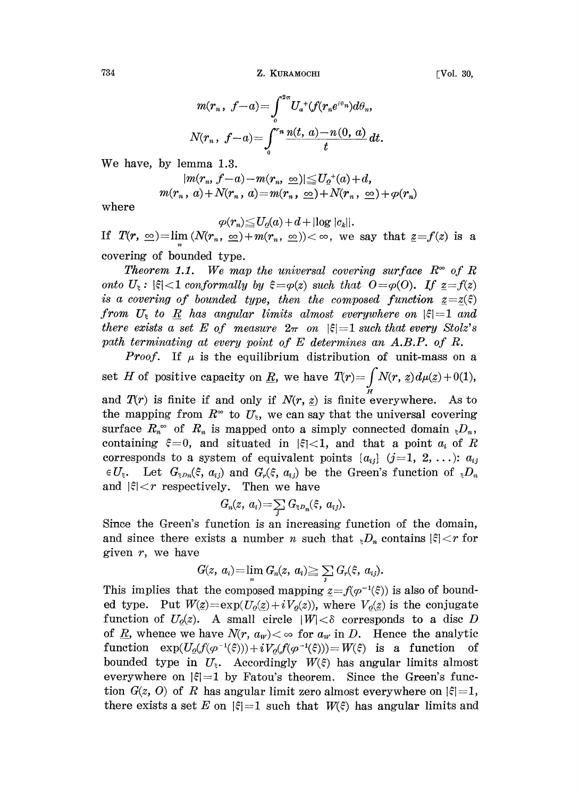Z. KURAMOCHI [Vol. 30,

$$
m(r_n, f-a) = \int_0^{2\pi} U_a^+(f(r_n e^{i\theta_n}) d\theta_n,
$$
  

$$
N(r_n, f-a) = \int_0^{r_n} \frac{n(t, a) - n(0, a)}{t} dt.
$$

We have, by lemma 1.3.

$$
|m(r_n, f-a)-m(r_n, \infty)| \le U_0^+(a)+d,
$$
  

$$
m(r_n, a)+N(r_n, a)=m(r_n, \infty)+N(r_n, \infty)+\varphi(r_n)
$$

where

 $\varphi(r_n) \leq U_o(a) + d + |\log |c_k|$ .

If  $T(r, \infty)=\lim_{n} (N(r_n, \infty)+m(r_n, \infty))<\infty$ , we say that  $z=f(z)$  is a covering of bounded type.

**Theorem 1.1.** We map the universal covering surface  $R^{\infty}$  of R onto  $U_{\epsilon}$ :  $|\xi|$  < 1 conformally by  $\xi = \varphi(z)$  such that  $0 = \varphi(0)$ . If  $z = f(z)$ is a covering of bounded type, then the composed function  $z=z(\xi)$ from  $U_{\epsilon}$  to R has angular limits almost everywhere on  $|\xi|=1$  and there exists a set E of measure  $2\pi$  on  $|\xi|=1$  such that every Stolz's path terminating at every point of E determines an A.B.P. of R.

*Proof.* If  $\mu$  is the equilibrium distribution of unit-mass on a set H of positive capacity on <u>R</u>, we have  $T(r) = \int N(r, z) d\mu(z) + 0(1)$ ,

and  $T(r)$  is finite if and only if  $N(r, z)$  is finite everywhere. As to the mapping from  $R^{\infty}$  to  $U_{\xi}$ , we can say that the universal covering surface  $R_n^{\infty}$  of  $R_n$  is mapped onto a simply connected domain  ${}_{\xi}D_n$ , containing  $\xi=0$ , and situated in  $|\xi|<1$ , and that a point  $a_i$  of R corresponds to a system of equivalent points  $\{a_{ij}\}\ (j=1, 2, \ldots)$ :  $a_{ij}$  $\in U_{\xi}$ . Let  $G_{\xi\partial n}(\xi, a_{ij})$  and  $G_{r}(\xi, a_{ij})$  be the Green's function of  ${}_{\xi}D_{n}$ and  $|\xi| < r$  respectively. Then we have

$$
G_n(z, a_i) = \sum_j G_{\xi p_n}(\xi, a_{ij}).
$$

Since the Green's function is an increasing function of the domain, and since there exists a number n such that  $\sum_{i=1}^{n} D_i$  contains  $|\xi| < r$  for given  $r$ , we have

$$
G(z, a_i) = \lim_n G_n(z, a_i) \geq \sum_i G_r(\xi, a_{ij}).
$$

This implies that the composed mapping  $z = f(\varphi^{-1}(\xi))$  is also of bounded type. Put  $W(\underline{z}) = \exp(U_0(\underline{z})+iV_0(z))$ , where  $V_0(\underline{z})$  is the conjugate function of  $U_o(z)$ . A small circle  $|W| < \delta$  corresponds to a disc D of <u>R</u>, whence we have  $N(r, a_w) < \infty$  for  $a_w$  in D. Hence the analytic function  $exp(U_o(f(\varphi^{-1}(\xi))) + iV_o(f(\varphi^{-1}(\xi))) = W(\xi)$  is a function of bounded type in  $U_{\xi}$ . Accordingly  $W(\xi)$  has angular limits almost everywhere on  $|\xi|=1$  by Fatou's theorem. Since the Green's function  $G(z, 0)$  of R has angular limit zero almost everywhere on  $|\xi|=1$ , there exists a set E on  $|\xi|= 1$  such that  $W(\xi)$  has angular limits and

$$
^{734}
$$